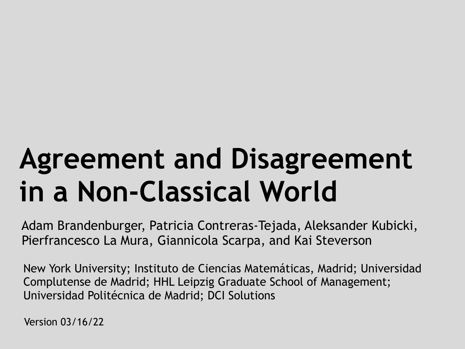# **Agreement and Disagreement in a Non-Classical World**

Adam Brandenburger, Patricia Contreras-Tejada, Aleksander Kubicki, Pierfrancesco La Mura, Giannicola Scarpa, and Kai Steverson

 New York University; Instituto de Ciencias Matemáticas, Madrid; Universidad Complutense de Madrid; HHL Leipzig Graduate School of Management; Universidad Politécnica de Madrid; DCI Solutions

Version 03/16/22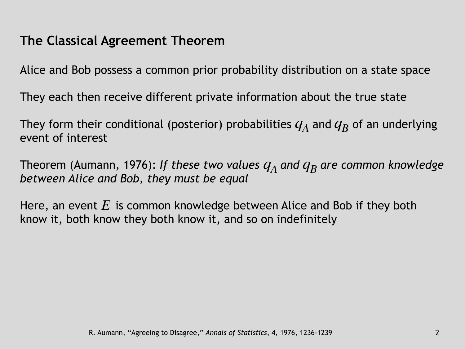#### **The Classical Agreement Theorem**

Alice and Bob possess a common prior probability distribution on a state space

They each then receive different private information about the true state

They form their conditional (posterior) probabilities  $q_A$  and  $q_B$  of an underlying event of interest

Theorem (Aumann, 1976): If these two values  $q_A$  and  $q_B$  are common knowledge *between Alice and Bob, they must be equal*

Here, an event  $E$  is common knowledge between Alice and Bob if they both know it, both know they both know it, and so on indefinitely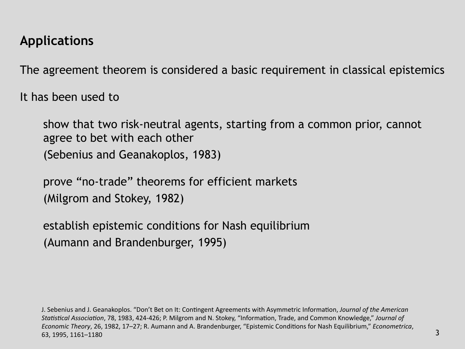#### **Applications**

The agreement theorem is considered a basic requirement in classical epistemics

It has been used to

show that two risk-neutral agents, starting from a common prior, cannot agree to bet with each other (Sebenius and Geanakoplos, 1983)

prove "no-trade" theorems for efficient markets (Milgrom and Stokey, 1982)

establish epistemic conditions for Nash equilibrium (Aumann and Brandenburger, 1995)

J. Sebenius and J. Geanakoplos. "Don't Bet on It: Contingent Agreements with Asymmetric Information, *Journal of the American Statistical Association*, 78, 1983, 424-426; P. Milgrom and N. Stokey, "Information, Trade, and Common Knowledge," *Journal of Economic Theory*, 26, 1982, 17–27; R. Aumann and A. Brandenburger, "Epistemic Conditions for Nash Equilibrium," *Econometrica*, 63, 1995, 1161–1180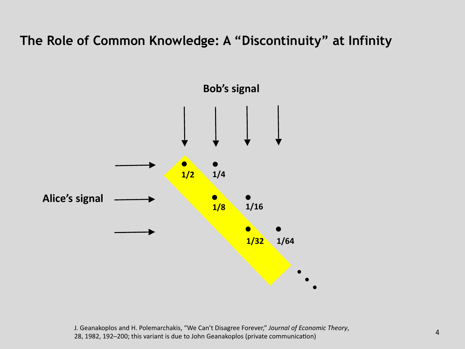#### **The Role of Common Knowledge: A "Discontinuity" at Infinity**



<sup>4</sup> J. Geanakoplos and H. Polemarchakis, "We Can't Disagree Forever," *Journal of Economic Theory*, 28, 1982, 192–200; this variant is due to John Geanakoplos (private communication)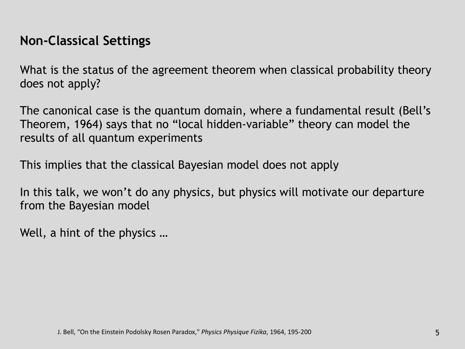#### **Non-Classical Settings**

What is the status of the agreement theorem when classical probability theory does not apply?

The canonical case is the quantum domain, where a fundamental result (Bell's Theorem, 1964) says that no "local hidden-variable" theory can model the results of all quantum experiments

This implies that the classical Bayesian model does not apply

In this talk, we won't do any physics, but physics will motivate our departure from the Bayesian model

Well, a hint of the physics …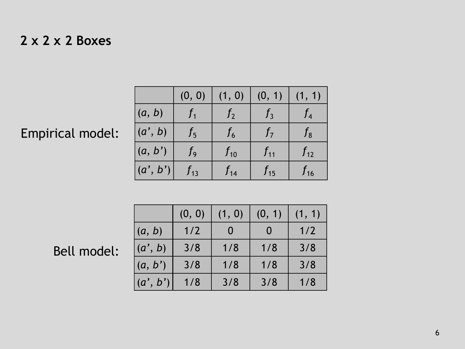#### **2 x 2 x 2 Boxes**

## Empirical model:

|          | (0, 0)   | (1, 0)         | (0, 1)   | (1, 1)       |
|----------|----------|----------------|----------|--------------|
| (a, b)   | $f_{1}$  | J <sub>2</sub> | $f_3$    | $f_4$        |
| (a', b)  | $f_{5}$  | ${f}_6$        | $f_7$    | $f_8^-$      |
| (a, b')  | $f_{9}$  | $f_{10}$       | $f_{11}$ | $f_{12}$     |
| (a', b') | $f_{13}$ | ${f}_{14}$     | $f_{15}$ | $f_{\rm 16}$ |

# Bell model:

|          | (0, 0) | (1, 0) | (0, 1) | (1, 1) |
|----------|--------|--------|--------|--------|
| (a, b)   | 1/2    |        |        | 1/2    |
| (a', b)  | 3/8    | 1/8    | 1/8    | 3/8    |
| (a, b')  | 3/8    | 1/8    | 1/8    | 3/8    |
| (a', b') | 1/8    | 3/8    | 3/8    | 1/8    |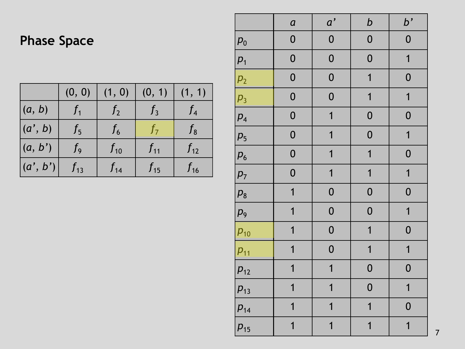## **Phase Space**

|          | (0, 0)   | (1, 0)   | (0, 1)   | (1, 1)   |
|----------|----------|----------|----------|----------|
| (a, b)   |          | $J_{2}$  | $J_3$    |          |
| (a', b)  | $f_{5}$  | $f_{6}$  | 17       | ${f}_8$  |
| (a, b')  | Ţ9       | $f_{10}$ | $f_{11}$ | $f_{12}$ |
| (a', b') | $f_{13}$ | $f_{14}$ | $f_{15}$ | $f_{16}$ |

|                    | $\boldsymbol{a}$        | a'                      | $\boldsymbol{b}$        | b'               |
|--------------------|-------------------------|-------------------------|-------------------------|------------------|
| $\boldsymbol{p}_0$ | $\boldsymbol{0}$        | $\boldsymbol{0}$        | $\boldsymbol{0}$        | $\boldsymbol{0}$ |
| $p_1$              | $\boldsymbol{0}$        | $\boldsymbol{0}$        | $\boldsymbol{0}$        | $\mathbf{1}$     |
| p <sub>2</sub>     | $\boldsymbol{0}$        | $\boldsymbol{0}$        | $\overline{\mathbf{1}}$ | $\boldsymbol{0}$ |
| $p_3$              | $\boldsymbol{0}$        | $\boldsymbol{0}$        | $\overline{1}$          | $\mathbf{1}$     |
| $p_4$              | $\boldsymbol{0}$        | $\overline{1}$          | $\boldsymbol{0}$        | $\boldsymbol{0}$ |
| $p_5$              | $\boldsymbol{0}$        | $\overline{1}$          | $\boldsymbol{0}$        | $\overline{1}$   |
| $p_{6}$            | $\boldsymbol{0}$        | $\overline{1}$          | $\overline{\mathbf{1}}$ | $\boldsymbol{0}$ |
| $p_7$              | $\boldsymbol{0}$        | $\overline{1}$          | $\overline{\mathbf{1}}$ | $\overline{1}$   |
| $p_8$              | $\overline{1}$          | $\boldsymbol{0}$        | $\boldsymbol{0}$        | $\boldsymbol{0}$ |
| $p_{9}$            | $\overline{\mathbf{1}}$ | $\boldsymbol{0}$        | $\boldsymbol{0}$        | $\mathbf{1}$     |
| $p_{10}$           | $\overline{1}$          | $\boldsymbol{0}$        | $\overline{1}$          | $\boldsymbol{0}$ |
| $p_{11}$           | $\overline{\mathbf{1}}$ | $\boldsymbol{0}$        | $\overline{1}$          | $\mathbf{1}$     |
| $p_{12}$           | $\overline{\mathbf{1}}$ | $\mathbf{1}$            | $\boldsymbol{0}$        | $\boldsymbol{0}$ |
| $p_{13}$           | $\overline{1}$          | $\overline{\mathbf{1}}$ | $\boldsymbol{0}$        | $\overline{1}$   |
| $p_{14}$           | $\overline{1}$          | $\overline{1}$          | $\overline{\mathbf{1}}$ | $\boldsymbol{0}$ |
| $p_{15}$           | $\overline{1}$          | $\overline{1}$          | $\overline{1}$          | $\overline{1}$   |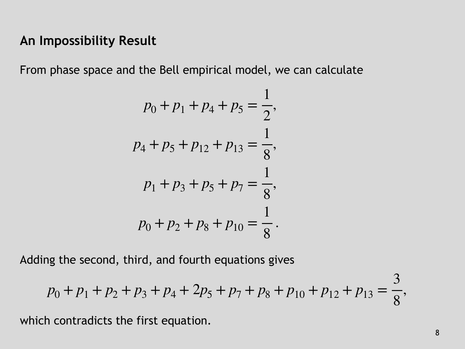#### **An Impossibility Result**

From phase space and the Bell empirical model, we can calculate

$$
p_0 + p_1 + p_4 + p_5 = \frac{1}{2},
$$
  
\n
$$
p_4 + p_5 + p_{12} + p_{13} = \frac{1}{8},
$$
  
\n
$$
p_1 + p_3 + p_5 + p_7 = \frac{1}{8},
$$
  
\n
$$
p_0 + p_2 + p_8 + p_{10} = \frac{1}{8}.
$$

Adding the second, third, and fourth equations gives

$$
p_0 + p_1 + p_2 + p_3 + p_4 + 2p_5 + p_7 + p_8 + p_{10} + p_{12} + p_{13} = \frac{3}{8},
$$

which contradicts the first equation.

 $\bigcap$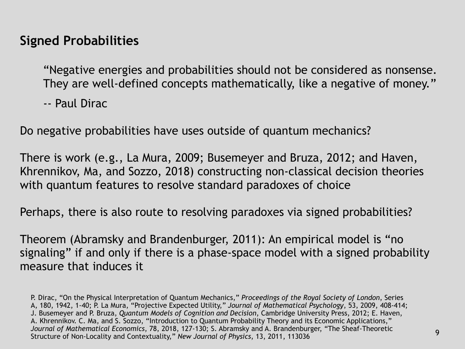#### **Signed Probabilities**

"Negative energies and probabilities should not be considered as nonsense. They are well-defined concepts mathematically, like a negative of money."

-- Paul Dirac

Do negative probabilities have uses outside of quantum mechanics?

There is work (e.g., La Mura, 2009; Busemeyer and Bruza, 2012; and Haven, Khrennikov, Ma, and Sozzo, 2018) constructing non-classical decision theories with quantum features to resolve standard paradoxes of choice

Perhaps, there is also route to resolving paradoxes via signed probabilities?

Theorem (Abramsky and Brandenburger, 2011): An empirical model is "no signaling" if and only if there is a phase-space model with a signed probability measure that induces it

P. Dirac, "On the Physical Interpretation of Quantum Mechanics," *Proceedings of the Royal Society of London*, Series A, 180, 1942, 1-40; P. La Mura, "Projective Expected Utility," *Journal of Mathematical Psychology*, 53, 2009, 408-414; J. Busemeyer and P. Bruza, *Quantum Models of Cognition and Decision*, Cambridge University Press, 2012; E. Haven, A. Khrennikov. C. Ma, and S. Sozzo, "Introduction to Quantum Probability Theory and its Economic Applications," *Journal of Mathematical Economics*, 78, 2018, 127-130; S. Abramsky and A. Brandenburger, "The Sheaf-Theoretic Structure of Non-Locality and Contextuality," *New Journal of Physics*, 13, 2011, 113036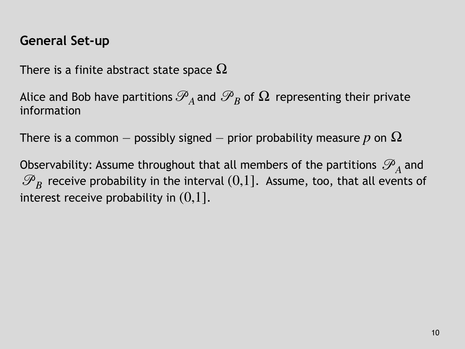#### **General Set-up**

There is a finite abstract state space  $\Omega$ 

Alice and Bob have partitions  $\mathscr{P}_A$  and  $\mathscr{P}_B$  of  $\Omega$  representing their private  $\cdot$ information

There is a common — possibly signed — prior probability measure  $p$  on  $\Omega$ 

Observability: Assume throughout that all members of the partitions  $\mathscr{P}_\mathrm{a}$  and  $\mathscr{P}_B$  receive probability in the interval  $(0,1]$ . Assume, too, that all events of interest receive probability in  $(0,1].$ *A*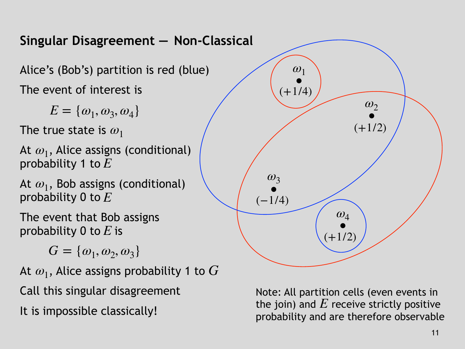

It is impossible classically!

probability and are therefore observable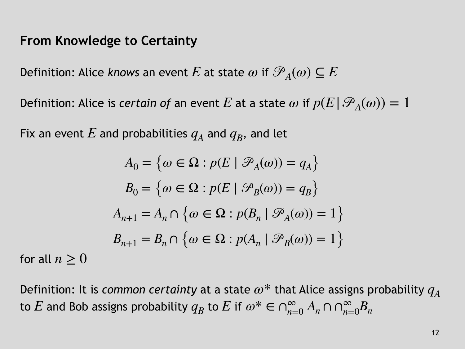#### **From Knowledge to Certainty**

Definition: Alice *knows* an event  $E$  at state  $\omega$  if  $\mathscr{P}_{A}(\omega) \subseteq E$ 

Definition: Alice is *certain of* an event  $E$  at a state  $\omega$  if  $p(E|\mathscr{P}_A(\omega)) = 1$ 

Fix an event  $E$  and probabilities  $q_A$  and  $q_B$ , and let

$$
A_0 = \{ \omega \in \Omega : p(E \mid \mathcal{P}_A(\omega)) = q_A \}
$$
  
\n
$$
B_0 = \{ \omega \in \Omega : p(E \mid \mathcal{P}_B(\omega)) = q_B \}
$$
  
\n
$$
A_{n+1} = A_n \cap \{ \omega \in \Omega : p(B_n \mid \mathcal{P}_A(\omega)) = 1 \}
$$
  
\n
$$
B_{n+1} = B_n \cap \{ \omega \in \Omega : p(A_n \mid \mathcal{P}_B(\omega)) = 1 \}
$$

for all  $n\geq 0$ 

Definition: It is *common certainty* at a state  $\omega^*$  that Alice assigns probability  $q_A$ to  $E$  and Bob assigns probability  $q_B$  to  $E$  if  $\omega^* \in \cap_{n=0}^{\infty} A_n \cap \cap_{n=0}^{\infty} B_n$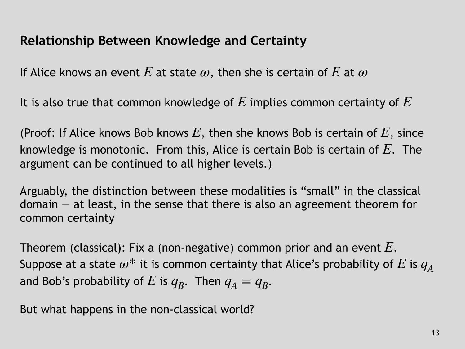### **Relationship Between Knowledge and Certainty**

If Alice knows an event  $E$  at state  $\omega,$  then she is certain of  $E$  at  $\omega$ 

It is also true that common knowledge of  $E$  implies common certainty of  $E$ 

(Proof: If Alice knows Bob knows  $E$ , then she knows Bob is certain of  $E$ , since knowledge is monotonic. From this, Alice is certain Bob is certain of  $E$ . The argument can be continued to all higher levels.)

Arguably, the distinction between these modalities is "small" in the classical  $domain - at least, in the sense that there is also an agreement theorem for$ common certainty

Theorem (classical): Fix a (non-negative) common prior and an event  $E.$ Suppose at a state  $\omega^*$  it is common certainty that Alice's probability of  $E$  is  $q_A$ and Bob's probability of  $E$  is  $q_B$ . Then  $q_A = q_B$ .

But what happens in the non-classical world?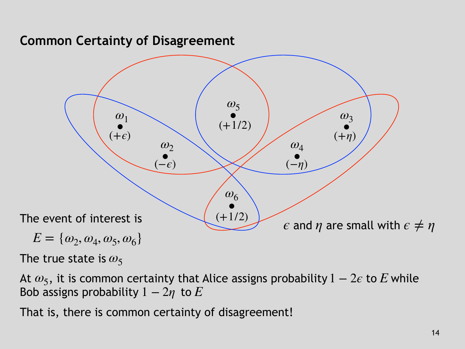#### **Common Certainty of Disagreement**



The true state is  $\omega_5$ 

At  $\omega_5$ , it is common certainty that Alice assigns probability  $1 - 2\epsilon$  to E while Bob assigns probability  $1-2\eta$  to  $E$ 

That is, there is common certainty of disagreement!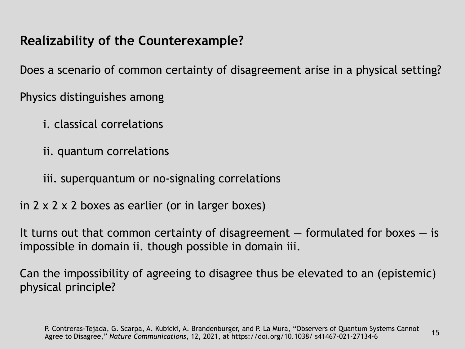## **Realizability of the Counterexample?**

Does a scenario of common certainty of disagreement arise in a physical setting?

Physics distinguishes among

- i. classical correlations
- ii. quantum correlations
- iii. superquantum or no-signaling correlations
- in 2 x 2 x 2 boxes as earlier (or in larger boxes)

It turns out that common certainty of disagreement  $-$  formulated for boxes  $-$  is impossible in domain ii. though possible in domain iii.

Can the impossibility of agreeing to disagree thus be elevated to an (epistemic) physical principle?